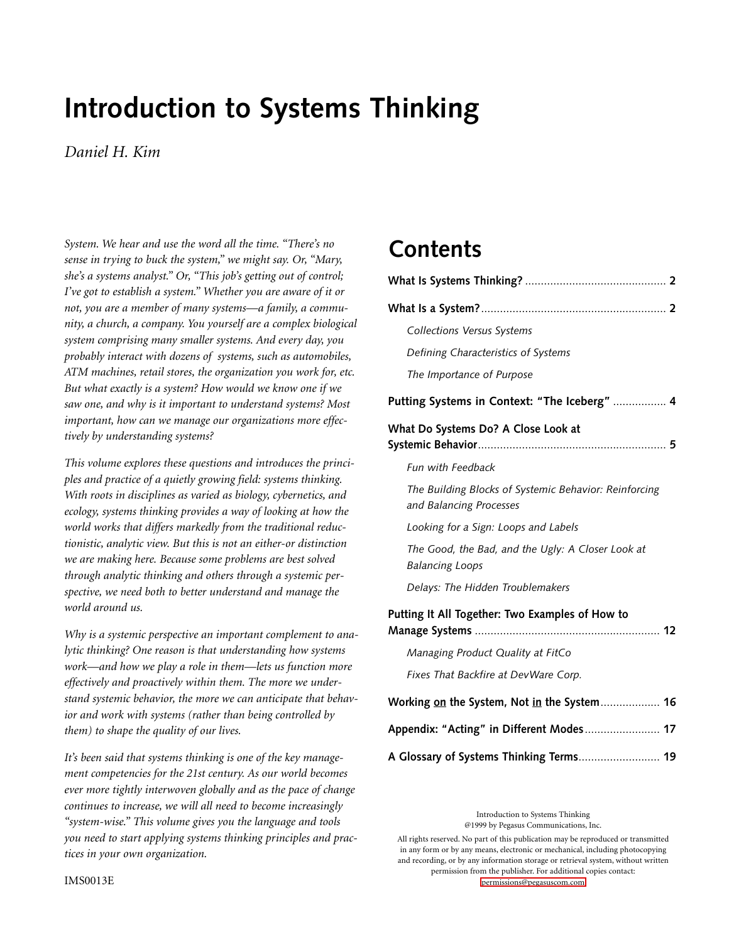# **Introduction to Systems Thinking**

# *Daniel H. Kim*

*System. We hear and use the word all the time. "There's no sense in trying to buck the system," we might say. Or, "Mary, she's a systems analyst." Or, "This job's getting out of control; I've got to establish a system." Whether you are aware of it or not, you are a member of many systems—a family, a community, a church, a company. You yourself are a complex biological system comprising many smaller systems. And every day, you probably interact with dozens of systems, such as automobiles, ATM machines, retail stores, the organization you work for, etc. But what exactly is a system? How would we know one if we saw one, and why is it important to understand systems? Most important, how can we manage our organizations more effectively by understanding systems?*

*This volume explores these questions and introduces the principles and practice of a quietly growing field: systems thinking. With roots in disciplines as varied as biology, cybernetics, and ecology, systems thinking provides a way of looking at how the world works that differs markedly from the traditional reductionistic, analytic view. But this is not an either-or distinction we are making here. Because some problems are best solved through analytic thinking and others through a systemic perspective, we need both to better understand and manage the world around us.*

*Why is a systemic perspective an important complement to analytic thinking? One reason is that understanding how systems work—and how we play a role in them—lets us function more effectively and proactively within them. The more we understand systemic behavior, the more we can anticipate that behavior and work with systems (rather than being controlled by them) to shape the quality of our lives.*

*It's been said that systems thinking is one of the key management competencies for the 21st century. As our world becomes ever more tightly interwoven globally and as the pace of change continues to increase, we will all need to become increasingly "system-wise." This volume gives you the language and tools you need to start applying systems thinking principles and practices in your own organization.*

# **Contents**

| <b>Collections Versus Systems</b>                                                |
|----------------------------------------------------------------------------------|
| Defining Characteristics of Systems                                              |
| The Importance of Purpose                                                        |
| Putting Systems in Context: "The Iceberg"  4                                     |
| What Do Systems Do? A Close Look at                                              |
| <b>Fun with Feedback</b>                                                         |
| The Building Blocks of Systemic Behavior: Reinforcing<br>and Balancing Processes |
| Looking for a Sign: Loops and Labels                                             |
| The Good, the Bad, and the Ugly: A Closer Look at<br><b>Balancing Loops</b>      |
| Delays: The Hidden Troublemakers                                                 |
| Putting It All Together: Two Examples of How to                                  |
| Managing Product Quality at FitCo                                                |
| Fixes That Backfire at DevWare Corp.                                             |
| Working on the System, Not in the System 16                                      |
| Appendix: "Acting" in Different Modes 17                                         |

**[A Glossary of Systems Thinking Terms](#page-18-0)**.......................... **19**

Introduction to Systems Thinking @1999 by Pegasus Communications, Inc.

All rights reserved. No part of this publication may be reproduced or transmitted in any form or by any means, electronic or mechanical, including photocopying and recording, or by any information storage or retrieval system, without written permission from the publisher. For additional copies contact: [permissions@pegasuscom.com](mailto:permissions@pegasuscom.com)

IMS0013E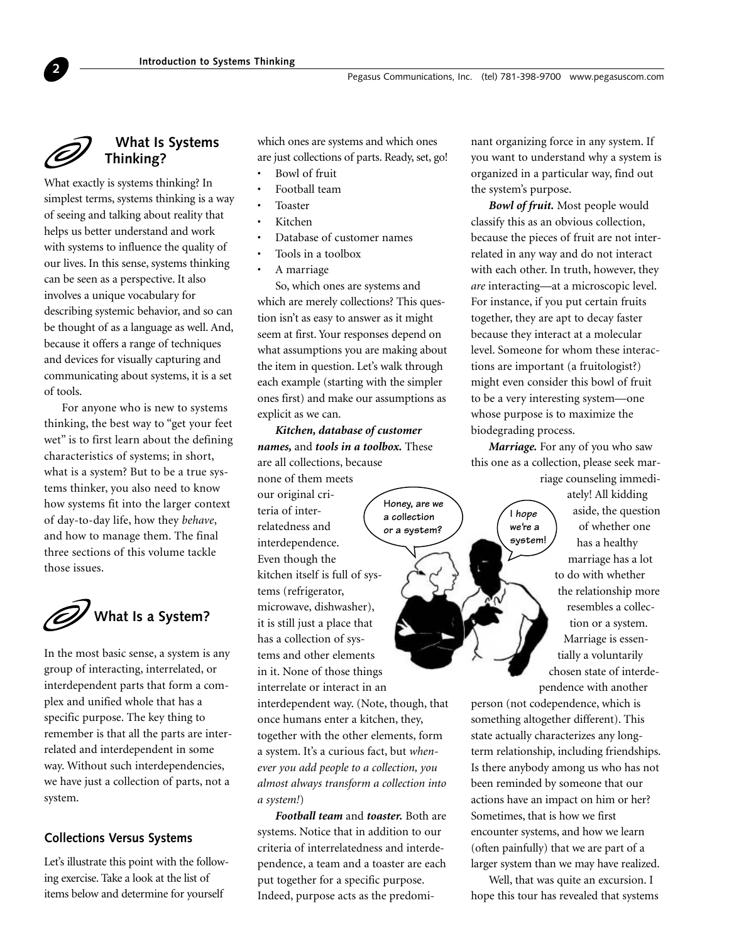

<span id="page-1-0"></span>**2**

# **What Is Systems Thinking?**

What exactly is systems thinking? In simplest terms, systems thinking is a way of seeing and talking about reality that helps us better understand and work with systems to influence the quality of our lives. In this sense, systems thinking can be seen as a perspective. It also involves a unique vocabulary for describing systemic behavior, and so can be thought of as a language as well. And, because it offers a range of techniques and devices for visually capturing and communicating about systems, it is a set of tools.

For anyone who is new to systems thinking, the best way to "get your feet wet" is to first learn about the defining characteristics of systems; in short, what is a system? But to be a true systems thinker, you also need to know how systems fit into the larger context of day-to-day life, how they *behave*, and how to manage them. The final three sections of this volume tackle those issues.

**What Is a System?**

In the most basic sense, a system is any group of interacting, interrelated, or interdependent parts that form a complex and unified whole that has a specific purpose. The key thing to remember is that all the parts are interrelated and interdependent in some way. Without such interdependencies, we have just a collection of parts, not a system.

## **Collections Versus Systems**

Let's illustrate this point with the following exercise. Take a look at the list of items below and determine for yourself

which ones are systems and which ones are just collections of parts. Ready, set, go!

- Bowl of fruit
- Football team
- Toaster • Kitchen
- 
- Database of customer names
- Tools in a toolbox
- A marriage

So, which ones are systems and which are merely collections? This question isn't as easy to answer as it might seem at first. Your responses depend on what assumptions you are making about the item in question. Let's walk through each example (starting with the simpler ones first) and make our assumptions as explicit as we can.

*Kitchen, database of customer names,* and *tools in a toolbox.* These are all collections, because

> **Honey, are we a collection or a system?**

none of them meets our original criteria of interrelatedness and interdependence. Even though the kitchen itself is full of systems (refrigerator, microwave, dishwasher), it is still just a place that has a collection of systems and other elements in it. None of those things interrelate or interact in an

interdependent way. (Note, though, that once humans enter a kitchen, they, together with the other elements, form a system. It's a curious fact, but *whenever you add people to a collection, you almost always transform a collection into a system!*)

*Football team* and *toaster.* Both are systems. Notice that in addition to our criteria of interrelatedness and interdependence, a team and a toaster are each put together for a specific purpose. Indeed, purpose acts as the predominant organizing force in any system. If you want to understand why a system is organized in a particular way, find out the system's purpose.

*Bowl of fruit.* Most people would classify this as an obvious collection, because the pieces of fruit are not interrelated in any way and do not interact with each other. In truth, however, they *are* interacting—at a microscopic level. For instance, if you put certain fruits together, they are apt to decay faster because they interact at a molecular level. Someone for whom these interactions are important (a fruitologist?) might even consider this bowl of fruit to be a very interesting system—one whose purpose is to maximize the biodegrading process.

*Marriage.* For any of you who saw this one as a collection, please seek mar-

> **I hope we're a**



person (not codependence, which is something altogether different). This state actually characterizes any longterm relationship, including friendships. Is there anybody among us who has not been reminded by someone that our actions have an impact on him or her? Sometimes, that is how we first encounter systems, and how we learn (often painfully) that we are part of a larger system than we may have realized.

Well, that was quite an excursion. I hope this tour has revealed that systems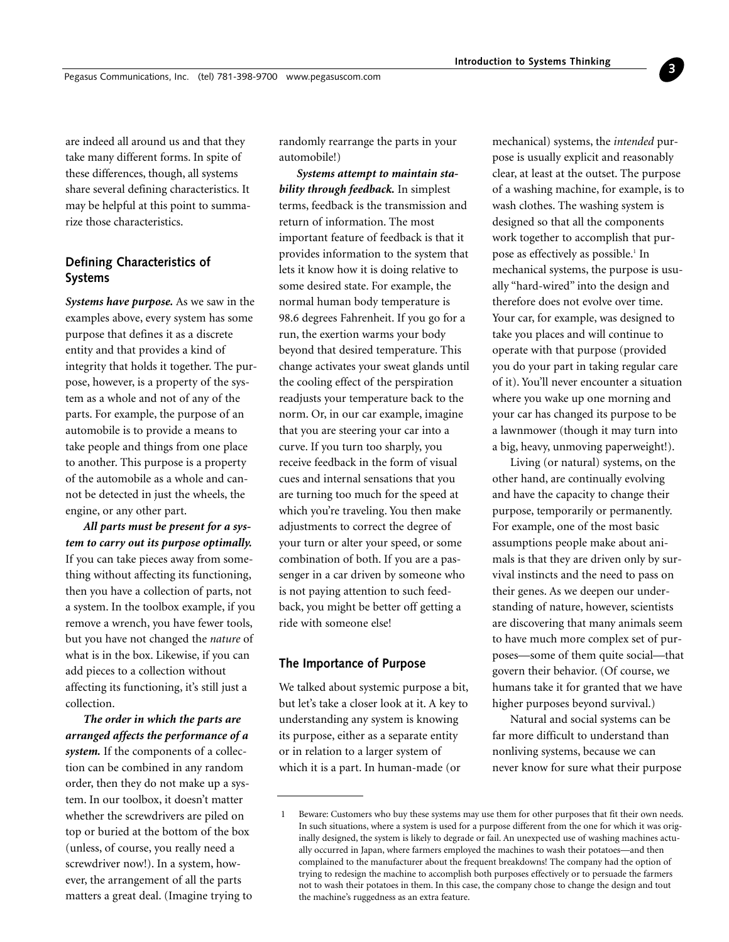<span id="page-2-0"></span>are indeed all around us and that they take many different forms. In spite of these differences, though, all systems share several defining characteristics. It may be helpful at this point to summarize those characteristics.

# **Defining Characteristics of Systems**

*Systems have purpose.* As we saw in the examples above, every system has some purpose that defines it as a discrete entity and that provides a kind of integrity that holds it together. The purpose, however, is a property of the system as a whole and not of any of the parts. For example, the purpose of an automobile is to provide a means to take people and things from one place to another. This purpose is a property of the automobile as a whole and cannot be detected in just the wheels, the engine, or any other part.

*All parts must be present for a system to carry out its purpose optimally.* If you can take pieces away from something without affecting its functioning, then you have a collection of parts, not a system. In the toolbox example, if you remove a wrench, you have fewer tools, but you have not changed the *nature* of what is in the box. Likewise, if you can add pieces to a collection without affecting its functioning, it's still just a collection.

*The order in which the parts are arranged affects the performance of a system.* If the components of a collection can be combined in any random order, then they do not make up a system. In our toolbox, it doesn't matter whether the screwdrivers are piled on top or buried at the bottom of the box (unless, of course, you really need a screwdriver now!). In a system, however, the arrangement of all the parts matters a great deal. (Imagine trying to randomly rearrange the parts in your automobile!)

*Systems attempt to maintain stability through feedback.* In simplest terms, feedback is the transmission and return of information. The most important feature of feedback is that it provides information to the system that lets it know how it is doing relative to some desired state. For example, the normal human body temperature is 98.6 degrees Fahrenheit. If you go for a run, the exertion warms your body beyond that desired temperature. This change activates your sweat glands until the cooling effect of the perspiration readjusts your temperature back to the norm. Or, in our car example, imagine that you are steering your car into a curve. If you turn too sharply, you receive feedback in the form of visual cues and internal sensations that you are turning too much for the speed at which you're traveling. You then make adjustments to correct the degree of your turn or alter your speed, or some combination of both. If you are a passenger in a car driven by someone who is not paying attention to such feedback, you might be better off getting a ride with someone else!

#### **The Importance of Purpose**

We talked about systemic purpose a bit, but let's take a closer look at it. A key to understanding any system is knowing its purpose, either as a separate entity or in relation to a larger system of which it is a part. In human-made (or

mechanical) systems, the *intended* purpose is usually explicit and reasonably clear, at least at the outset. The purpose of a washing machine, for example, is to wash clothes. The washing system is designed so that all the components work together to accomplish that purpose as effectively as possible.<sup>1</sup> In mechanical systems, the purpose is usually "hard-wired" into the design and therefore does not evolve over time. Your car, for example, was designed to take you places and will continue to operate with that purpose (provided you do your part in taking regular care of it). You'll never encounter a situation where you wake up one morning and your car has changed its purpose to be a lawnmower (though it may turn into a big, heavy, unmoving paperweight!).

**3**

Living (or natural) systems, on the other hand, are continually evolving and have the capacity to change their purpose, temporarily or permanently. For example, one of the most basic assumptions people make about animals is that they are driven only by survival instincts and the need to pass on their genes. As we deepen our understanding of nature, however, scientists are discovering that many animals seem to have much more complex set of purposes—some of them quite social—that govern their behavior. (Of course, we humans take it for granted that we have higher purposes beyond survival.)

Natural and social systems can be far more difficult to understand than nonliving systems, because we can never know for sure what their purpose

<sup>1</sup> Beware: Customers who buy these systems may use them for other purposes that fit their own needs. In such situations, where a system is used for a purpose different from the one for which it was originally designed, the system is likely to degrade or fail. An unexpected use of washing machines actually occurred in Japan, where farmers employed the machines to wash their potatoes—and then complained to the manufacturer about the frequent breakdowns! The company had the option of trying to redesign the machine to accomplish both purposes effectively or to persuade the farmers not to wash their potatoes in them. In this case, the company chose to change the design and tout the machine's ruggedness as an extra feature.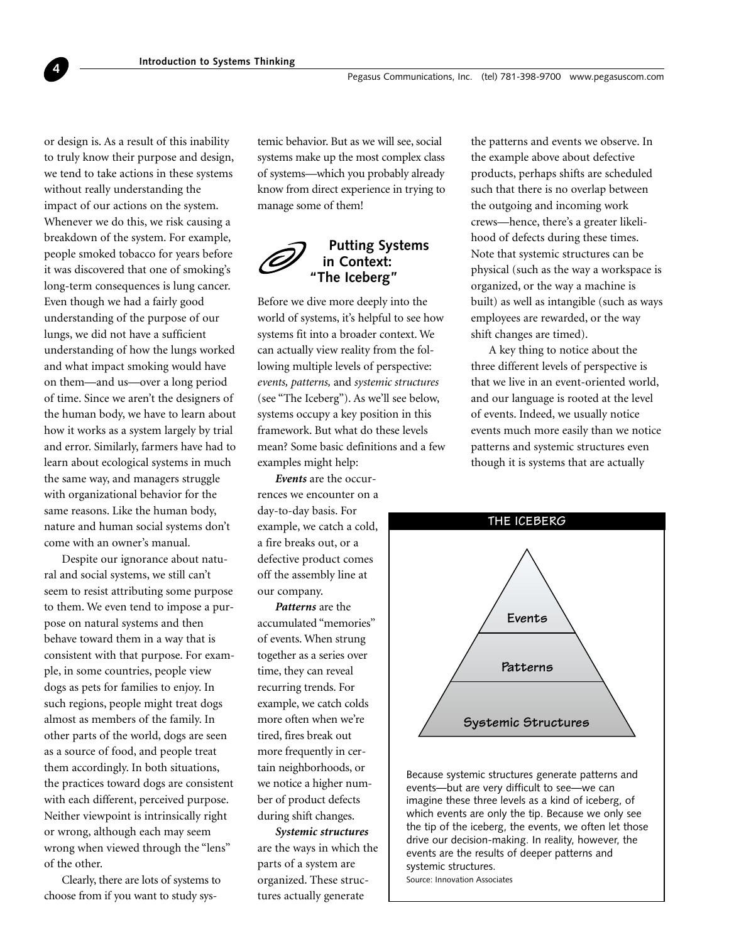or design is. As a result of this inability to truly know their purpose and design, we tend to take actions in these systems without really understanding the impact of our actions on the system. Whenever we do this, we risk causing a breakdown of the system. For example, people smoked tobacco for years before it was discovered that one of smoking's long-term consequences is lung cancer. Even though we had a fairly good understanding of the purpose of our lungs, we did not have a sufficient understanding of how the lungs worked and what impact smoking would have on them—and us—over a long period of time. Since we aren't the designers of the human body, we have to learn about how it works as a system largely by trial and error. Similarly, farmers have had to learn about ecological systems in much the same way, and managers struggle with organizational behavior for the same reasons. Like the human body, nature and human social systems don't come with an owner's manual.

<span id="page-3-0"></span>**4**

Despite our ignorance about natural and social systems, we still can't seem to resist attributing some purpose to them. We even tend to impose a purpose on natural systems and then behave toward them in a way that is consistent with that purpose. For example, in some countries, people view dogs as pets for families to enjoy. In such regions, people might treat dogs almost as members of the family. In other parts of the world, dogs are seen as a source of food, and people treat them accordingly. In both situations, the practices toward dogs are consistent with each different, perceived purpose. Neither viewpoint is intrinsically right or wrong, although each may seem wrong when viewed through the "lens" of the other.

Clearly, there are lots of systems to choose from if you want to study systemic behavior. But as we will see, social systems make up the most complex class of systems—which you probably already know from direct experience in trying to manage some of them!



# **Putting Systems in Context: "The Iceberg"**

Before we dive more deeply into the world of systems, it's helpful to see how systems fit into a broader context. We can actually view reality from the following multiple levels of perspective: *events, patterns,* and *systemic structures* (see "The Iceberg"). As we'll see below, systems occupy a key position in this framework. But what do these levels mean? Some basic definitions and a few examples might help:

*Events* are the occurrences we encounter on a day-to-day basis. For example, we catch a cold, a fire breaks out, or a defective product comes off the assembly line at our company.

*Patterns* are the accumulated "memories" of events. When strung together as a series over time, they can reveal recurring trends. For example, we catch colds more often when we're tired, fires break out more frequently in certain neighborhoods, or we notice a higher number of product defects during shift changes.

*Systemic structures* are the ways in which the parts of a system are organized. These structures actually generate

the patterns and events we observe. In the example above about defective products, perhaps shifts are scheduled such that there is no overlap between the outgoing and incoming work crews—hence, there's a greater likelihood of defects during these times. Note that systemic structures can be physical (such as the way a workspace is organized, or the way a machine is built) as well as intangible (such as ways employees are rewarded, or the way shift changes are timed).

A key thing to notice about the three different levels of perspective is that we live in an event-oriented world, and our language is rooted at the level of events. Indeed, we usually notice events much more easily than we notice patterns and systemic structures even though it is systems that are actually



Because systemic structures generate patterns and events—but are very difficult to see—we can imagine these three levels as a kind of iceberg, of which events are only the tip. Because we only see the tip of the iceberg, the events, we often let those drive our decision-making. In reality, however, the events are the results of deeper patterns and systemic structures. Source: Innovation Associates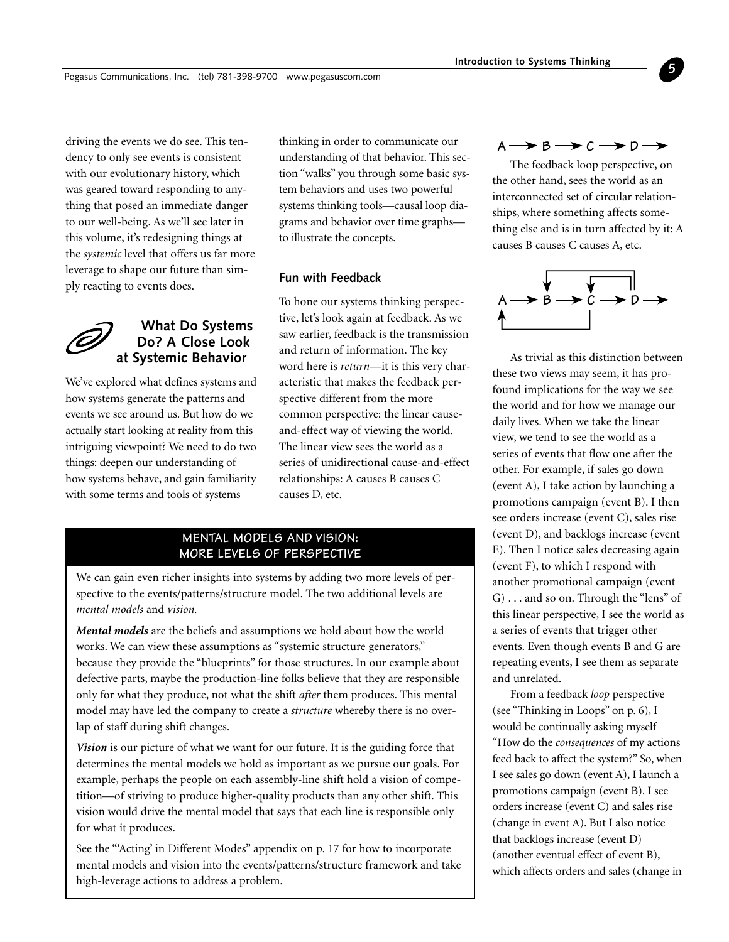<span id="page-4-0"></span>driving the events we do see. This tendency to only see events is consistent with our evolutionary history, which was geared toward responding to anything that posed an immediate danger to our well-being. As we'll see later in this volume, it's redesigning things at the *systemic* level that offers us far more leverage to shape our future than simply reacting to events does.

# **What Do Systems Do? A Close Look at Systemic Behavior**

We've explored what defines systems and how systems generate the patterns and events we see around us. But how do we actually start looking at reality from this intriguing viewpoint? We need to do two things: deepen our understanding of how systems behave, and gain familiarity with some terms and tools of systems

thinking in order to communicate our understanding of that behavior. This section "walks" you through some basic system behaviors and uses two powerful systems thinking tools—causal loop diagrams and behavior over time graphs to illustrate the concepts.

# **Fun with Feedback**

To hone our systems thinking perspective, let's look again at feedback. As we saw earlier, feedback is the transmission and return of information. The key word here is *return*—it is this very characteristic that makes the feedback perspective different from the more common perspective: the linear causeand-effect way of viewing the world. The linear view sees the world as a series of unidirectional cause-and-effect relationships: A causes B causes C causes D, etc.

# **MENTAL MODELS AND VISION: MORE LEVELS OF PERSPECTIVE**

We can gain even richer insights into systems by adding two more levels of perspective to the events/patterns/structure model. The two additional levels are *mental models* and *vision.*

*Mental models* are the beliefs and assumptions we hold about how the world works. We can view these assumptions as "systemic structure generators," because they provide the "blueprints" for those structures. In our example about defective parts, maybe the production-line folks believe that they are responsible only for what they produce, not what the shift *after* them produces. This mental model may have led the company to create a *structure* whereby there is no overlap of staff during shift changes.

*Vision* is our picture of what we want for our future. It is the guiding force that determines the mental models we hold as important as we pursue our goals. For example, perhaps the people on each assembly-line shift hold a vision of competition—of striving to produce higher-quality products than any other shift. This vision would drive the mental model that says that each line is responsible only for what it produces.

See the "'Acting' in Different Modes" appendix on p. 17 for how to incorporate mental models and vision into the events/patterns/structure framework and take high-leverage actions to address a problem.

# $A \rightarrow B \rightarrow C \rightarrow D \rightarrow$

**5**

The feedback loop perspective, on the other hand, sees the world as an interconnected set of circular relationships, where something affects something else and is in turn affected by it: A causes B causes C causes A, etc.



As trivial as this distinction between these two views may seem, it has profound implications for the way we see the world and for how we manage our daily lives. When we take the linear view, we tend to see the world as a series of events that flow one after the other. For example, if sales go down (event A), I take action by launching a promotions campaign (event B). I then see orders increase (event C), sales rise (event D), and backlogs increase (event E). Then I notice sales decreasing again (event F), to which I respond with another promotional campaign (event G) . . . and so on. Through the "lens" of this linear perspective, I see the world as a series of events that trigger other events. Even though events B and G are repeating events, I see them as separate and unrelated.

From a feedback *loop* perspective (see "Thinking in Loops" on p. 6), I would be continually asking myself "How do the *consequences* of my actions feed back to affect the system?" So, when I see sales go down (event A), I launch a promotions campaign (event B). I see orders increase (event C) and sales rise (change in event A). But I also notice that backlogs increase (event D) (another eventual effect of event B), which affects orders and sales (change in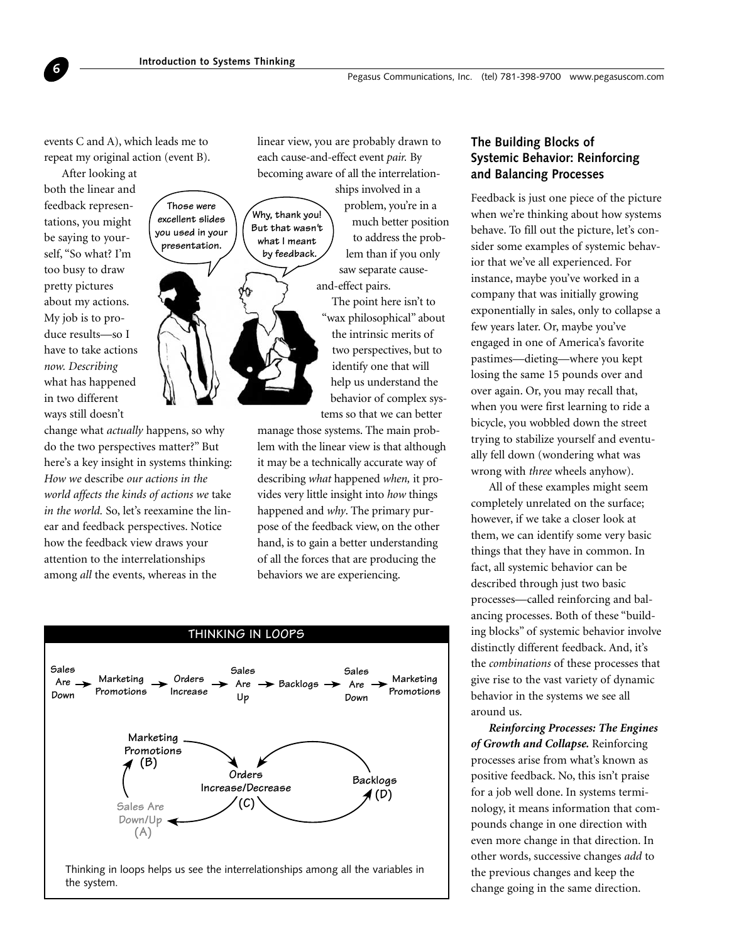**Those were excellent slides you used in your presentation.**

events C and A), which leads me to repeat my original action (event B).

After looking at both the linear and feedback representations, you might be saying to yourself, "So what? I'm too busy to draw pretty pictures about my actions. My job is to produce results—so I have to take actions *now. Describing* what has happened in two different ways still doesn't

<span id="page-5-0"></span>**6**

change what *actually* happens, so why do the two perspectives matter?" But here's a key insight in systems thinking: *How we* describe *our actions in the world affects the kinds of actions we* take *in the world.* So, let's reexamine the linear and feedback perspectives. Notice how the feedback view draws your attention to the interrelationships among *all* the events, whereas in the

linear view, you are probably drawn to each cause-and-effect event *pair.* By becoming aware of all the interrelation-

**Why, thank you! But that wasn't what I meant by feedback.**



ships involved in a problem, you're in a much better position to address the problem than if you only saw separate causeand-effect pairs.

The point here isn't to "wax philosophical" about the intrinsic merits of two perspectives, but to identify one that will help us understand the behavior of complex systems so that we can better

manage those systems. The main problem with the linear view is that although it may be a technically accurate way of describing *what* happened *when,* it provides very little insight into *how* things happened and *why*. The primary purpose of the feedback view, on the other hand, is to gain a better understanding of all the forces that are producing the behaviors we are experiencing.



# **The Building Blocks of Systemic Behavior: Reinforcing and Balancing Processes**

Feedback is just one piece of the picture when we're thinking about how systems behave. To fill out the picture, let's consider some examples of systemic behavior that we've all experienced. For instance, maybe you've worked in a company that was initially growing exponentially in sales, only to collapse a few years later. Or, maybe you've engaged in one of America's favorite pastimes—dieting—where you kept losing the same 15 pounds over and over again. Or, you may recall that, when you were first learning to ride a bicycle, you wobbled down the street trying to stabilize yourself and eventually fell down (wondering what was wrong with *three* wheels anyhow).

All of these examples might seem completely unrelated on the surface; however, if we take a closer look at them, we can identify some very basic things that they have in common. In fact, all systemic behavior can be described through just two basic processes—called reinforcing and balancing processes. Both of these "building blocks" of systemic behavior involve distinctly different feedback. And, it's the *combinations* of these processes that give rise to the vast variety of dynamic behavior in the systems we see all around us.

*Reinforcing Processes: The Engines of Growth and Collapse.* Reinforcing processes arise from what's known as positive feedback. No, this isn't praise for a job well done. In systems terminology, it means information that compounds change in one direction with even more change in that direction. In other words, successive changes *add* to the previous changes and keep the change going in the same direction.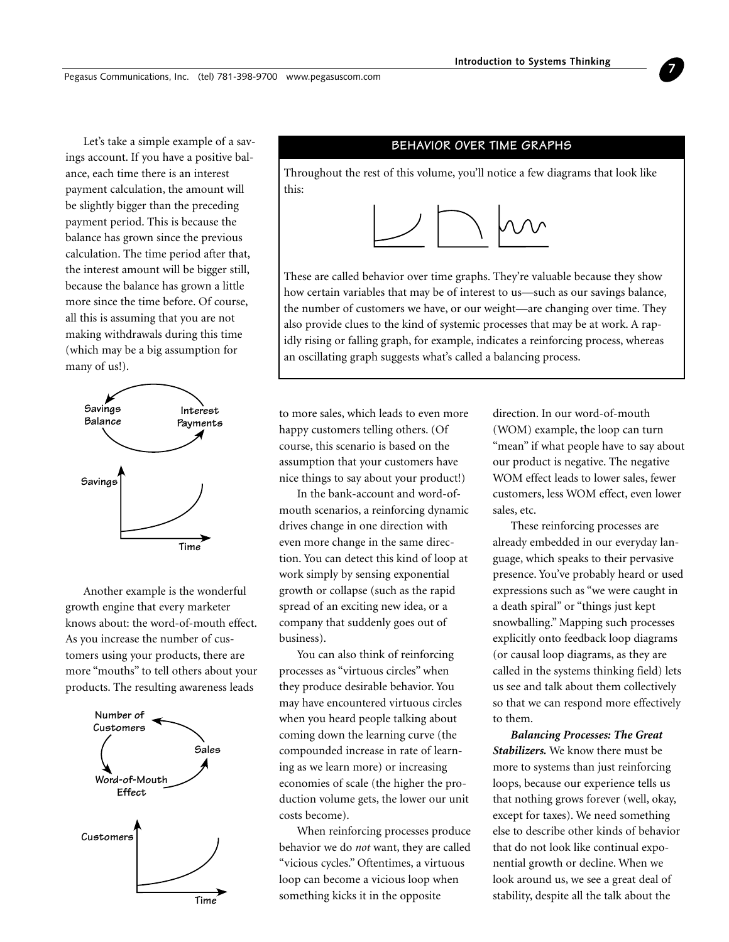**7**

Pegasus Communications, Inc. (tel) 781-398-9700 www.pegasuscom.com

Let's take a simple example of a savings account. If you have a positive balance, each time there is an interest payment calculation, the amount will be slightly bigger than the preceding payment period. This is because the balance has grown since the previous calculation. The time period after that, the interest amount will be bigger still, because the balance has grown a little more since the time before. Of course, all this is assuming that you are not making withdrawals during this time (which may be a big assumption for many of us!).



Another example is the wonderful growth engine that every marketer knows about: the word-of-mouth effect. As you increase the number of customers using your products, there are more "mouths" to tell others about your products. The resulting awareness leads



#### **BEHAVIOR OVER TIME GRAPHS**

Throughout the rest of this volume, you'll notice a few diagrams that look like this:



These are called behavior over time graphs. They're valuable because they show how certain variables that may be of interest to us—such as our savings balance, the number of customers we have, or our weight—are changing over time. They also provide clues to the kind of systemic processes that may be at work. A rapidly rising or falling graph, for example, indicates a reinforcing process, whereas an oscillating graph suggests what's called a balancing process.

to more sales, which leads to even more happy customers telling others. (Of course, this scenario is based on the assumption that your customers have nice things to say about your product!)

In the bank-account and word-ofmouth scenarios, a reinforcing dynamic drives change in one direction with even more change in the same direction. You can detect this kind of loop at work simply by sensing exponential growth or collapse (such as the rapid spread of an exciting new idea, or a company that suddenly goes out of business).

You can also think of reinforcing processes as "virtuous circles" when they produce desirable behavior. You may have encountered virtuous circles when you heard people talking about coming down the learning curve (the compounded increase in rate of learning as we learn more) or increasing economies of scale (the higher the production volume gets, the lower our unit costs become).

When reinforcing processes produce behavior we do *not* want, they are called "vicious cycles." Oftentimes, a virtuous loop can become a vicious loop when something kicks it in the opposite

direction. In our word-of-mouth (WOM) example, the loop can turn "mean" if what people have to say about our product is negative. The negative WOM effect leads to lower sales, fewer customers, less WOM effect, even lower sales, etc.

These reinforcing processes are already embedded in our everyday language, which speaks to their pervasive presence. You've probably heard or used expressions such as "we were caught in a death spiral" or "things just kept snowballing." Mapping such processes explicitly onto feedback loop diagrams (or causal loop diagrams, as they are called in the systems thinking field) lets us see and talk about them collectively so that we can respond more effectively to them.

*Balancing Processes: The Great Stabilizers.* We know there must be more to systems than just reinforcing loops, because our experience tells us that nothing grows forever (well, okay, except for taxes). We need something else to describe other kinds of behavior that do not look like continual exponential growth or decline. When we look around us, we see a great deal of stability, despite all the talk about the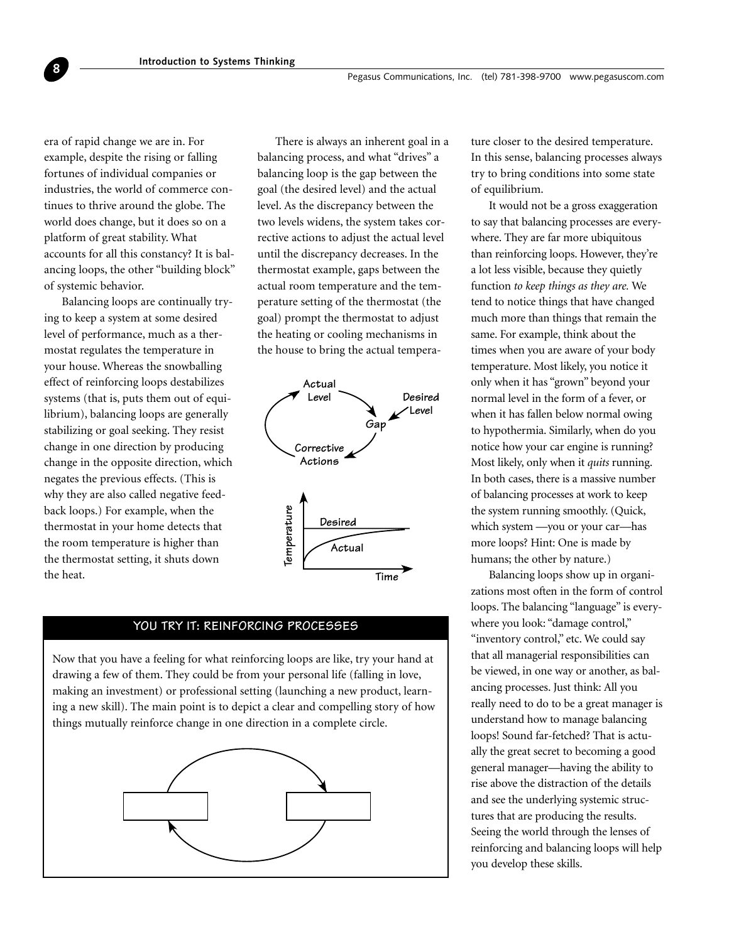era of rapid change we are in. For example, despite the rising or falling fortunes of individual companies or industries, the world of commerce continues to thrive around the globe. The world does change, but it does so on a platform of great stability. What accounts for all this constancy? It is balancing loops, the other "building block" of systemic behavior.

**8**

Balancing loops are continually trying to keep a system at some desired level of performance, much as a thermostat regulates the temperature in your house. Whereas the snowballing effect of reinforcing loops destabilizes systems (that is, puts them out of equilibrium), balancing loops are generally stabilizing or goal seeking. They resist change in one direction by producing change in the opposite direction, which negates the previous effects. (This is why they are also called negative feedback loops.) For example, when the thermostat in your home detects that the room temperature is higher than the thermostat setting, it shuts down the heat.

There is always an inherent goal in a balancing process, and what "drives" a balancing loop is the gap between the goal (the desired level) and the actual level. As the discrepancy between the two levels widens, the system takes corrective actions to adjust the actual level until the discrepancy decreases. In the thermostat example, gaps between the actual room temperature and the temperature setting of the thermostat (the goal) prompt the thermostat to adjust the heating or cooling mechanisms in the house to bring the actual tempera-



### **YOU TRY IT: REINFORCING PROCESSES**

Now that you have a feeling for what reinforcing loops are like, try your hand at drawing a few of them. They could be from your personal life (falling in love, making an investment) or professional setting (launching a new product, learning a new skill). The main point is to depict a clear and compelling story of how things mutually reinforce change in one direction in a complete circle.



ture closer to the desired temperature. In this sense, balancing processes always try to bring conditions into some state of equilibrium.

It would not be a gross exaggeration to say that balancing processes are everywhere. They are far more ubiquitous than reinforcing loops. However, they're a lot less visible, because they quietly function *to keep things as they are.* We tend to notice things that have changed much more than things that remain the same. For example, think about the times when you are aware of your body temperature. Most likely, you notice it only when it has "grown" beyond your normal level in the form of a fever, or when it has fallen below normal owing to hypothermia. Similarly, when do you notice how your car engine is running? Most likely, only when it *quits* running. In both cases, there is a massive number of balancing processes at work to keep the system running smoothly. (Quick, which system —you or your car—has more loops? Hint: One is made by humans; the other by nature.)

Balancing loops show up in organizations most often in the form of control loops. The balancing "language" is everywhere you look: "damage control," "inventory control," etc. We could say that all managerial responsibilities can be viewed, in one way or another, as balancing processes. Just think: All you really need to do to be a great manager is understand how to manage balancing loops! Sound far-fetched? That is actually the great secret to becoming a good general manager—having the ability to rise above the distraction of the details and see the underlying systemic structures that are producing the results. Seeing the world through the lenses of reinforcing and balancing loops will help you develop these skills.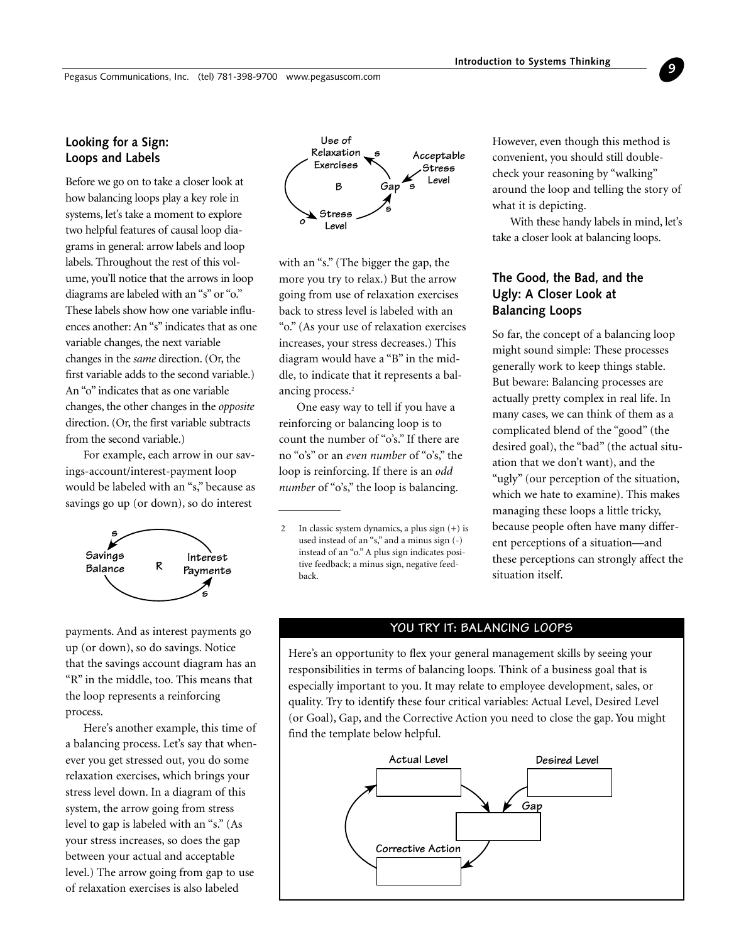# <span id="page-8-0"></span>**Looking for a Sign: Loops and Labels**

Before we go on to take a closer look at how balancing loops play a key role in systems, let's take a moment to explore two helpful features of causal loop diagrams in general: arrow labels and loop labels. Throughout the rest of this volume, you'll notice that the arrows in loop diagrams are labeled with an "s" or "o." These labels show how one variable influences another: An "s" indicates that as one variable changes, the next variable changes in the *same* direction. (Or, the first variable adds to the second variable.) An "o" indicates that as one variable changes, the other changes in the *opposite* direction. (Or, the first variable subtracts from the second variable.)

For example, each arrow in our savings-account/interest-payment loop would be labeled with an "s," because as savings go up (or down), so do interest



payments. And as interest payments go up (or down), so do savings. Notice that the savings account diagram has an "R" in the middle, too. This means that the loop represents a reinforcing process.

Here's another example, this time of a balancing process. Let's say that whenever you get stressed out, you do some relaxation exercises, which brings your stress level down. In a diagram of this system, the arrow going from stress level to gap is labeled with an "s." (As your stress increases, so does the gap between your actual and acceptable level.) The arrow going from gap to use of relaxation exercises is also labeled



with an "s." (The bigger the gap, the more you try to relax.) But the arrow going from use of relaxation exercises back to stress level is labeled with an "o." (As your use of relaxation exercises increases, your stress decreases.) This diagram would have a "B" in the middle, to indicate that it represents a balancing process.<sup>2</sup>

One easy way to tell if you have a reinforcing or balancing loop is to count the number of "o's." If there are no "o's" or an *even number* of "o's," the loop is reinforcing. If there is an *odd number* of "o's," the loop is balancing.

However, even though this method is convenient, you should still doublecheck your reasoning by "walking" around the loop and telling the story of what it is depicting.

**9**

With these handy labels in mind, let's take a closer look at balancing loops.

# **The Good, the Bad, and the Ugly: A Closer Look at Balancing Loops**

So far, the concept of a balancing loop might sound simple: These processes generally work to keep things stable. But beware: Balancing processes are actually pretty complex in real life. In many cases, we can think of them as a complicated blend of the "good" (the desired goal), the "bad" (the actual situation that we don't want), and the "ugly" (our perception of the situation, which we hate to examine). This makes managing these loops a little tricky, because people often have many different perceptions of a situation—and these perceptions can strongly affect the situation itself.

#### **YOU TRY IT: BALANCING LOOPS**

Here's an opportunity to flex your general management skills by seeing your responsibilities in terms of balancing loops. Think of a business goal that is especially important to you. It may relate to employee development, sales, or quality. Try to identify these four critical variables: Actual Level, Desired Level (or Goal), Gap, and the Corrective Action you need to close the gap. You might find the template below helpful.



<sup>2</sup> In classic system dynamics, a plus sign (+) is used instead of an "s," and a minus sign (-) instead of an "o." A plus sign indicates positive feedback; a minus sign, negative feedback.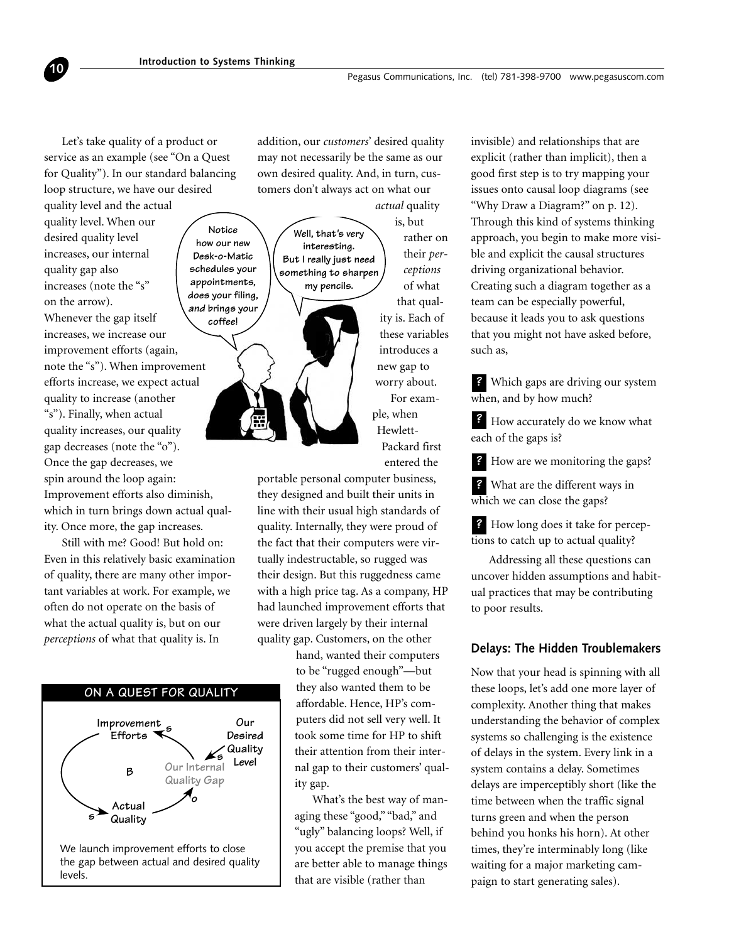# Let's take quality of a product or service as an example (see "On a Quest for Quality"). In our standard balancing loop structure, we have our desired

<span id="page-9-0"></span>**10**

quality level and the actual quality level. When our desired quality level increases, our internal quality gap also increases (note the "s" on the arrow). Whenever the gap itself increases, we increase our improvement efforts (again, note the "s"). When improvement efforts increase, we expect actual quality to increase (another "s"). Finally, when actual quality increases, our quality gap decreases (note the "o"). Once the gap decreases, we spin around the loop again: Improvement efforts also diminish, which in turn brings down actual quality. Once more, the gap increases. **Notice how our new Desk-o-Matic schedules your appointments, does your filing, and brings your coffee!**

Still with me? Good! But hold on: Even in this relatively basic examination of quality, there are many other important variables at work. For example, we often do not operate on the basis of what the actual quality is, but on our *perceptions* of what that quality is. In



addition, our *customers*' desired quality may not necessarily be the same as our own desired quality. And, in turn, customers don't always act on what our *actual* quality

> is, but rather on their *perceptions* of what that quality is. Each of these variables introduces a new gap to worry about. For example, when Hewlett-Packard first entered the **Well, that's very interesting. But I really just need something to sharpen my pencils.**

portable personal computer business, they designed and built their units in line with their usual high standards of quality. Internally, they were proud of the fact that their computers were virtually indestructable, so rugged was their design. But this ruggedness came with a high price tag. As a company, HP had launched improvement efforts that were driven largely by their internal quality gap. Customers, on the other

> hand, wanted their computers to be "rugged enough"—but they also wanted them to be affordable. Hence, HP's computers did not sell very well. It took some time for HP to shift their attention from their internal gap to their customers' quality gap.

> What's the best way of managing these "good," "bad," and "ugly" balancing loops? Well, if you accept the premise that you are better able to manage things that are visible (rather than

invisible) and relationships that are explicit (rather than implicit), then a good first step is to try mapping your issues onto causal loop diagrams (see "Why Draw a Diagram?" on p. 12). Through this kind of systems thinking approach, you begin to make more visible and explicit the causal structures driving organizational behavior. Creating such a diagram together as a team can be especially powerful, because it leads you to ask questions that you might not have asked before, such as,

Which gaps are driving our system **?** when, and by how much?

How accurately do we know what **?** each of the gaps is?

How are we monitoring the gaps? **?**

What are the different ways in **?** which we can close the gaps?

How long does it take for percep-**?** tions to catch up to actual quality?

Addressing all these questions can uncover hidden assumptions and habitual practices that may be contributing to poor results.

## **Delays: The Hidden Troublemakers**

Now that your head is spinning with all these loops, let's add one more layer of complexity. Another thing that makes understanding the behavior of complex systems so challenging is the existence of delays in the system. Every link in a system contains a delay. Sometimes delays are imperceptibly short (like the time between when the traffic signal turns green and when the person behind you honks his horn). At other times, they're interminably long (like waiting for a major marketing campaign to start generating sales).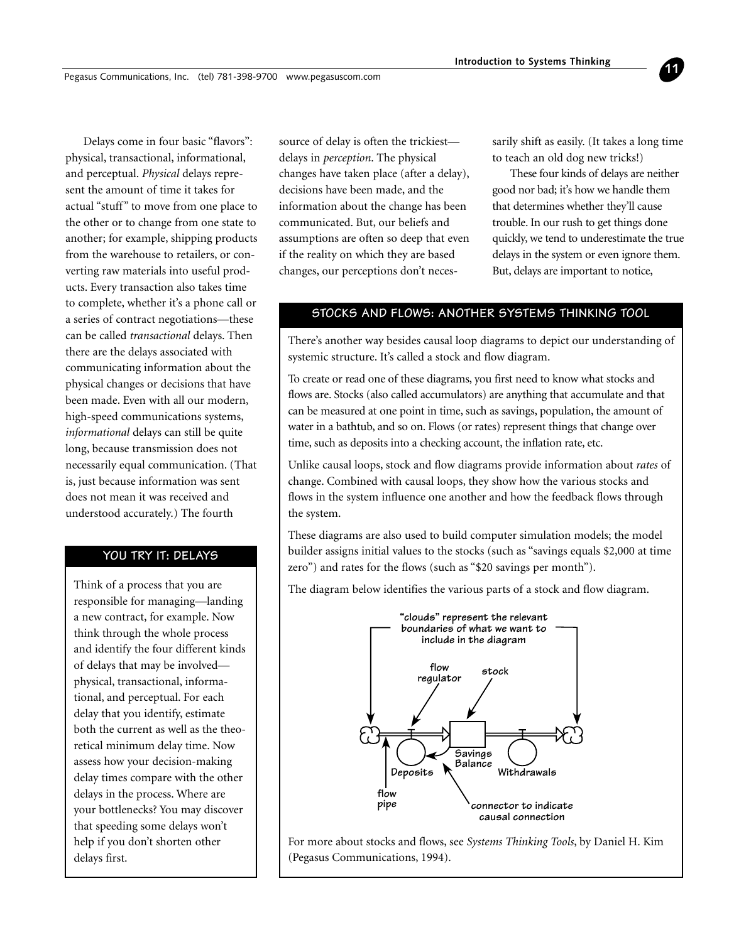Delays come in four basic "flavors": physical, transactional, informational, and perceptual. *Physical* delays represent the amount of time it takes for actual "stuff" to move from one place to the other or to change from one state to another; for example, shipping products from the warehouse to retailers, or converting raw materials into useful products. Every transaction also takes time to complete, whether it's a phone call or a series of contract negotiations—these can be called *transactional* delays. Then there are the delays associated with communicating information about the physical changes or decisions that have been made. Even with all our modern, high-speed communications systems, *informational* delays can still be quite long, because transmission does not necessarily equal communication. (That is, just because information was sent does not mean it was received and understood accurately.) The fourth

# **YOU TRY IT: DELAYS**

Think of a process that you are responsible for managing—landing a new contract, for example. Now think through the whole process and identify the four different kinds of delays that may be involved physical, transactional, informational, and perceptual. For each delay that you identify, estimate both the current as well as the theoretical minimum delay time. Now assess how your decision-making delay times compare with the other delays in the process. Where are your bottlenecks? You may discover that speeding some delays won't help if you don't shorten other delays first.

source of delay is often the trickiest delays in *perception*. The physical changes have taken place (after a delay), decisions have been made, and the information about the change has been communicated. But, our beliefs and assumptions are often so deep that even if the reality on which they are based changes, our perceptions don't necessarily shift as easily. (It takes a long time to teach an old dog new tricks!)

**11**

These four kinds of delays are neither good nor bad; it's how we handle them that determines whether they'll cause trouble. In our rush to get things done quickly, we tend to underestimate the true delays in the system or even ignore them. But, delays are important to notice,

# **STOCKS AND FLOWS: ANOTHER SYSTEMS THINKING TOOL**

There's another way besides causal loop diagrams to depict our understanding of systemic structure. It's called a stock and flow diagram.

To create or read one of these diagrams, you first need to know what stocks and flows are. Stocks (also called accumulators) are anything that accumulate and that can be measured at one point in time, such as savings, population, the amount of water in a bathtub, and so on. Flows (or rates) represent things that change over time, such as deposits into a checking account, the inflation rate, etc.

Unlike causal loops, stock and flow diagrams provide information about *rates* of change. Combined with causal loops, they show how the various stocks and flows in the system influence one another and how the feedback flows through the system.

These diagrams are also used to build computer simulation models; the model builder assigns initial values to the stocks (such as "savings equals \$2,000 at time zero") and rates for the flows (such as "\$20 savings per month").

The diagram below identifies the various parts of a stock and flow diagram.



For more about stocks and flows, see *Systems Thinking Tools*, by Daniel H. Kim (Pegasus Communications, 1994).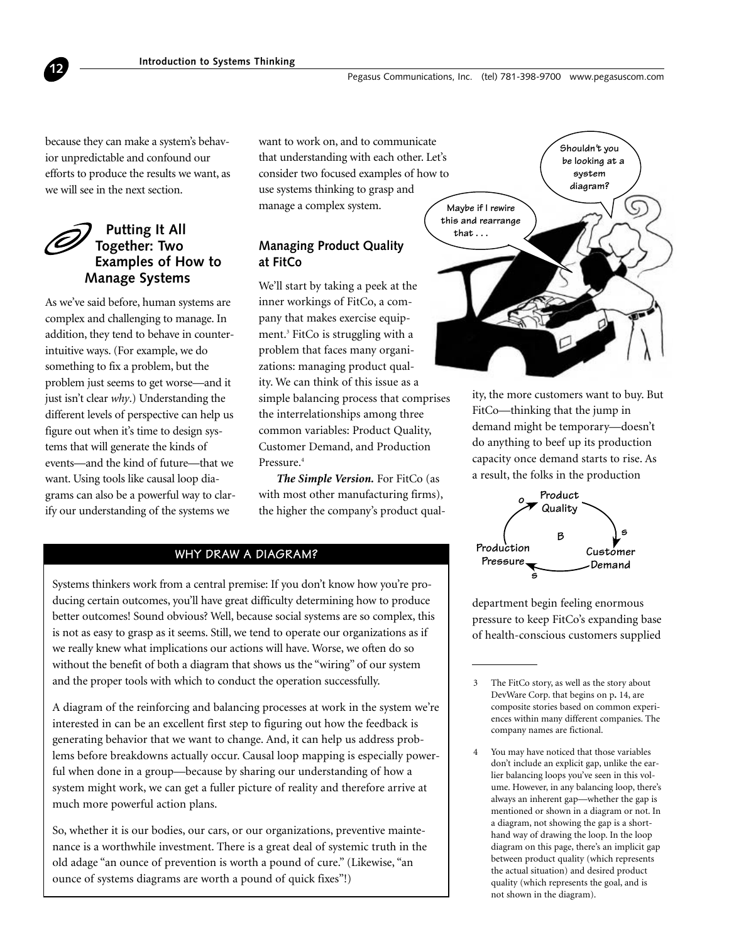because they can make a system's behavior unpredictable and confound our efforts to produce the results we want, as we will see in the next section.

<span id="page-11-0"></span>**12**

# **Putting It All Together: Two Examples of How to Manage Systems**

As we've said before, human systems are complex and challenging to manage. In addition, they tend to behave in counterintuitive ways. (For example, we do something to fix a problem, but the problem just seems to get worse—and it just isn't clear *why*.) Understanding the different levels of perspective can help us figure out when it's time to design systems that will generate the kinds of events—and the kind of future—that we want. Using tools like causal loop diagrams can also be a powerful way to clarify our understanding of the systems we

want to work on, and to communicate that understanding with each other. Let's consider two focused examples of how to use systems thinking to grasp and manage a complex system.

# **Managing Product Quality at FitCo**

We'll start by taking a peek at the inner workings of FitCo, a company that makes exercise equipment.3 FitCo is struggling with a problem that faces many organizations: managing product quality. We can think of this issue as a simple balancing process that comprises the interrelationships among three common variables: Product Quality, Customer Demand, and Production Pressure.4

*The Simple Version.* For FitCo (as with most other manufacturing firms), the higher the company's product qual-

# **WHY DRAW A DIAGRAM? Production**

Systems thinkers work from a central premise: If you don't know how you're producing certain outcomes, you'll have great difficulty determining how to produce better outcomes! Sound obvious? Well, because social systems are so complex, this is not as easy to grasp as it seems. Still, we tend to operate our organizations as if we really knew what implications our actions will have. Worse, we often do so without the benefit of both a diagram that shows us the "wiring" of our system and the proper tools with which to conduct the operation successfully.

A diagram of the reinforcing and balancing processes at work in the system we're interested in can be an excellent first step to figuring out how the feedback is generating behavior that we want to change. And, it can help us address problems before breakdowns actually occur. Causal loop mapping is especially powerful when done in a group—because by sharing our understanding of how a system might work, we can get a fuller picture of reality and therefore arrive at much more powerful action plans.

So, whether it is our bodies, our cars, or our organizations, preventive maintenance is a worthwhile investment. There is a great deal of systemic truth in the old adage "an ounce of prevention is worth a pound of cure." (Likewise, "an ounce of systems diagrams are worth a pound of quick fixes"!)



ity, the more customers want to buy. But FitCo—thinking that the jump in demand might be temporary—doesn't do anything to beef up its production capacity once demand starts to rise. As a result, the folks in the production



department begin feeling enormous pressure to keep FitCo's expanding base of health-conscious customers supplied

4 You may have noticed that those variables don't include an explicit gap, unlike the earlier balancing loops you've seen in this volume. However, in any balancing loop, there's always an inherent gap—whether the gap is mentioned or shown in a diagram or not. In a diagram, not showing the gap is a shorthand way of drawing the loop. In the loop diagram on this page, there's an implicit gap between product quality (which represents the actual situation) and desired product quality (which represents the goal, and is not shown in the diagram).

<sup>3</sup> The FitCo story, as well as the story about DevWare Corp. that begins on p**.** 14, are composite stories based on common experiences within many different companies. The company names are fictional.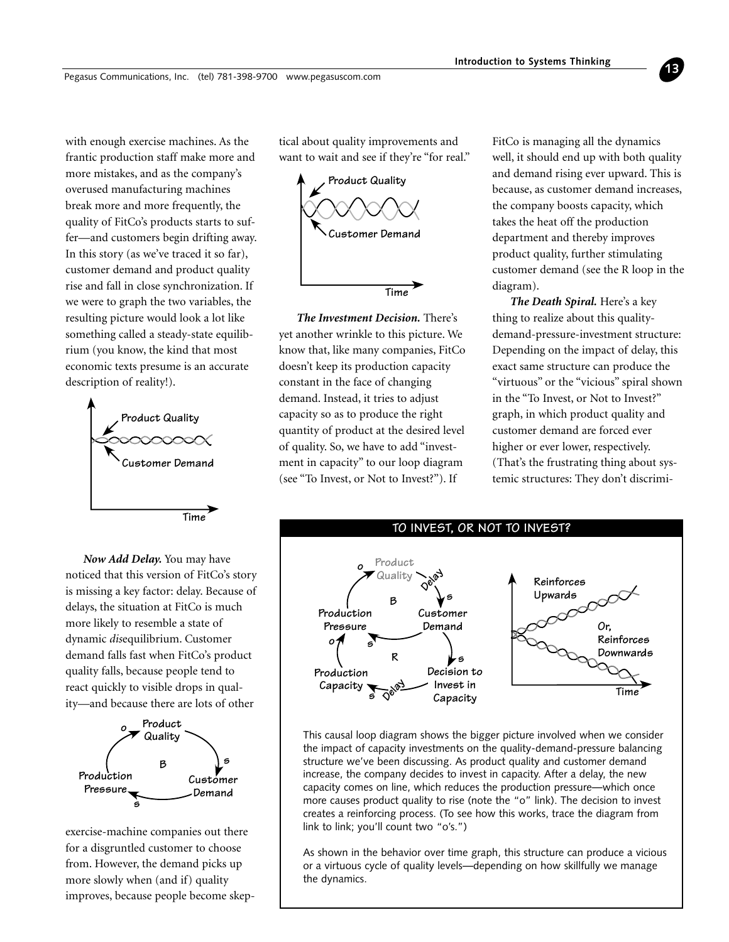with enough exercise machines. As the frantic production staff make more and more mistakes, and as the company's overused manufacturing machines break more and more frequently, the quality of FitCo's products starts to suffer—and customers begin drifting away. In this story (as we've traced it so far), customer demand and product quality rise and fall in close synchronization. If we were to graph the two variables, the resulting picture would look a lot like something called a steady-state equilibrium (you know, the kind that most economic texts presume is an accurate description of reality!).



*Now Add Delay.* You may have noticed that this version of FitCo's story is missing a key factor: delay. Because of delays, the situation at FitCo is much more likely to resemble a state of dynamic *dis*equilibrium. Customer demand falls fast when FitCo's product quality falls, because people tend to react quickly to visible drops in quality—and because there are lots of other



exercise-machine companies out there for a disgruntled customer to choose from. However, the demand picks up more slowly when (and if) quality improves, because people become skeptical about quality improvements and want to wait and see if they're "for real."



*The Investment Decision.* There's yet another wrinkle to this picture. We know that, like many companies, FitCo doesn't keep its production capacity constant in the face of changing demand. Instead, it tries to adjust capacity so as to produce the right quantity of product at the desired level of quality. So, we have to add "investment in capacity" to our loop diagram (see "To Invest, or Not to Invest?"). If

FitCo is managing all the dynamics well, it should end up with both quality and demand rising ever upward. This is because, as customer demand increases, the company boosts capacity, which takes the heat off the production department and thereby improves product quality, further stimulating customer demand (see the R loop in the diagram).

**13**

*The Death Spiral.* Here's a key thing to realize about this qualitydemand-pressure-investment structure: Depending on the impact of delay, this exact same structure can produce the "virtuous" or the "vicious" spiral shown in the "To Invest, or Not to Invest?" graph, in which product quality and customer demand are forced ever higher or ever lower, respectively. (That's the frustrating thing about systemic structures: They don't discrimi-



This causal loop diagram shows the bigger picture involved when we consider the impact of capacity investments on the quality-demand-pressure balancing structure we've been discussing. As product quality and customer demand increase, the company decides to invest in capacity. After a delay, the new capacity comes on line, which reduces the production pressure—which once more causes product quality to rise (note the "o" link). The decision to invest creates a reinforcing process. (To see how this works, trace the diagram from link to link; you'll count two "o's.")

As shown in the behavior over time graph, this structure can produce a vicious or a virtuous cycle of quality levels—depending on how skillfully we manage the dynamics.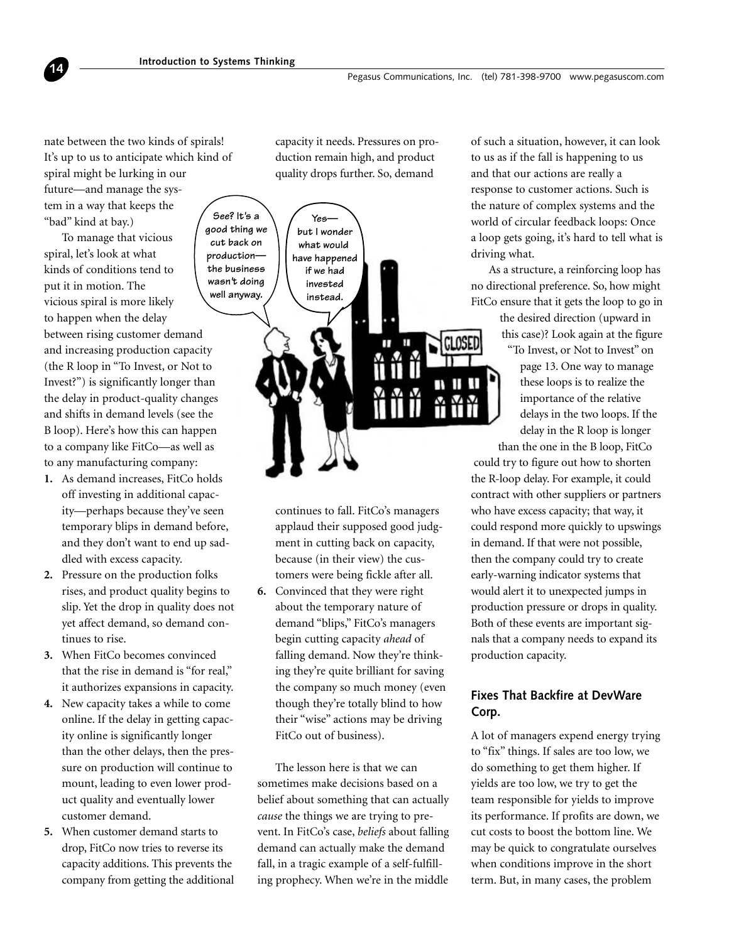nate between the two kinds of spirals! It's up to us to anticipate which kind of spiral might be lurking in our future—and manage the system in a way that keeps the "bad" kind at bay.)

<span id="page-13-0"></span>**14**

To manage that vicious spiral, let's look at what kinds of conditions tend to put it in motion. The vicious spiral is more likely to happen when the delay between rising customer demand and increasing production capacity (the R loop in "To Invest, or Not to Invest?") is significantly longer than the delay in product-quality changes and shifts in demand levels (see the B loop). Here's how this can happen to a company like FitCo—as well as to any manufacturing company:

- **1.** As demand increases, FitCo holds off investing in additional capacity—perhaps because they've seen temporary blips in demand before, and they don't want to end up saddled with excess capacity.
- **2.** Pressure on the production folks rises, and product quality begins to slip. Yet the drop in quality does not yet affect demand, so demand continues to rise.
- **3.** When FitCo becomes convinced that the rise in demand is "for real," it authorizes expansions in capacity.
- **4.** New capacity takes a while to come online. If the delay in getting capacity online is significantly longer than the other delays, then the pressure on production will continue to mount, leading to even lower product quality and eventually lower customer demand.
- **5.** When customer demand starts to drop, FitCo now tries to reverse its capacity additions. This prevents the company from getting the additional

capacity it needs. Pressures on production remain high, and product quality drops further. So, demand



continues to fall. FitCo's managers applaud their supposed good judgment in cutting back on capacity, because (in their view) the customers were being fickle after all.

**6.** Convinced that they were right about the temporary nature of demand "blips," FitCo's managers begin cutting capacity *ahead* of falling demand. Now they're thinking they're quite brilliant for saving the company so much money (even though they're totally blind to how their "wise" actions may be driving FitCo out of business).

The lesson here is that we can sometimes make decisions based on a belief about something that can actually *cause* the things we are trying to prevent. In FitCo's case, *beliefs* about falling demand can actually make the demand fall, in a tragic example of a self-fulfilling prophecy. When we're in the middle

of such a situation, however, it can look to us as if the fall is happening to us and that our actions are really a response to customer actions. Such is the nature of complex systems and the world of circular feedback loops: Once a loop gets going, it's hard to tell what is driving what.

As a structure, a reinforcing loop has no directional preference. So, how might FitCo ensure that it gets the loop to go in

> the desired direction (upward in this case)? Look again at the figure

"To Invest, or Not to Invest" on page 13. One way to manage these loops is to realize the importance of the relative delays in the two loops. If the delay in the R loop is longer

than the one in the B loop, FitCo could try to figure out how to shorten the R-loop delay. For example, it could contract with other suppliers or partners who have excess capacity; that way, it could respond more quickly to upswings in demand. If that were not possible, then the company could try to create early-warning indicator systems that would alert it to unexpected jumps in production pressure or drops in quality. Both of these events are important signals that a company needs to expand its production capacity.

# **Fixes That Backfire at DevWare Corp.**

A lot of managers expend energy trying to "fix" things. If sales are too low, we do something to get them higher. If yields are too low, we try to get the team responsible for yields to improve its performance. If profits are down, we cut costs to boost the bottom line. We may be quick to congratulate ourselves when conditions improve in the short term. But, in many cases, the problem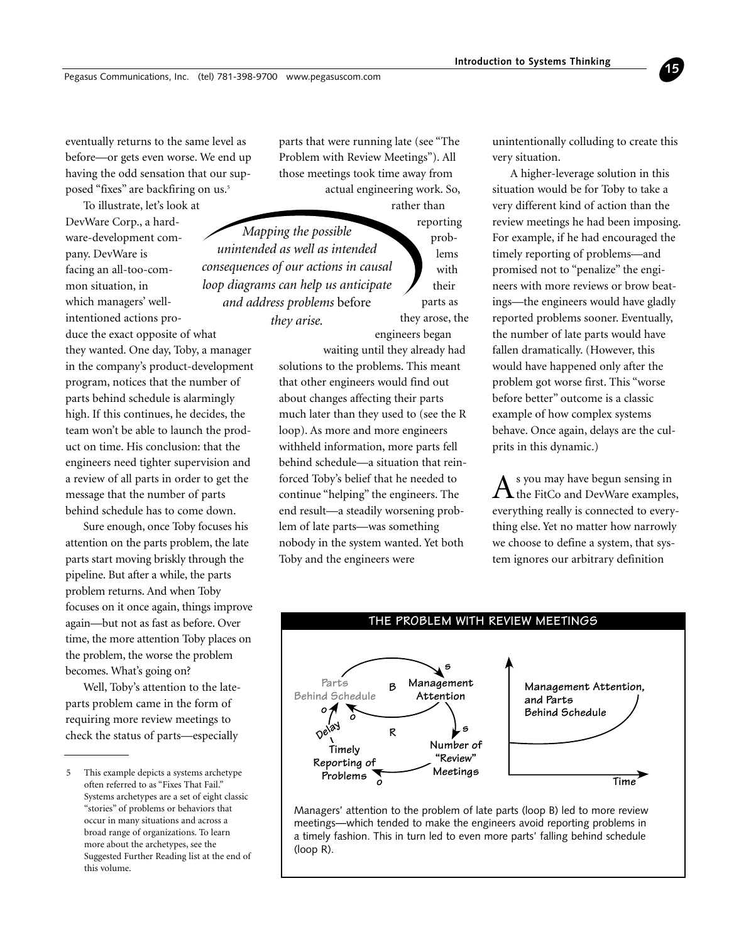eventually returns to the same level as before—or gets even worse. We end up having the odd sensation that our supposed "fixes" are backfiring on us.<sup>5</sup>

To illustrate, let's look at DevWare Corp., a hardware-development company. DevWare is facing an all-too-common situation, in which managers' wellintentioned actions produce the exact opposite of what they wanted. One day, Toby, a manager in the company's product-development program, notices that the number of parts behind schedule is alarmingly high. If this continues, he decides, the team won't be able to launch the product on time. His conclusion: that the engineers need tighter supervision and a review of all parts in order to get the message that the number of parts behind schedule has to come down.

Sure enough, once Toby focuses his attention on the parts problem, the late parts start moving briskly through the pipeline. But after a while, the parts problem returns. And when Toby focuses on it once again, things improve again—but not as fast as before. Over time, the more attention Toby places on the problem, the worse the problem becomes. What's going on?

Well, Toby's attention to the lateparts problem came in the form of requiring more review meetings to check the status of parts—especially

parts that were running late (see "The Problem with Review Meetings"). All those meetings took time away from actual engineering work. So,

> problems with their

rather than reporting parts as they arose, the engineers began *Mapping the possible unintended as well as intended consequences of our actions in causal loop diagrams can help us anticipate and address problems* before *they arise.*

> waiting until they already had solutions to the problems. This meant that other engineers would find out about changes affecting their parts much later than they used to (see the R loop). As more and more engineers withheld information, more parts fell behind schedule—a situation that reinforced Toby's belief that he needed to continue "helping" the engineers. The end result—a steadily worsening problem of late parts—was something nobody in the system wanted. Yet both Toby and the engineers were

unintentionally colluding to create this very situation.

**15**

A higher-leverage solution in this situation would be for Toby to take a very different kind of action than the review meetings he had been imposing. For example, if he had encouraged the timely reporting of problems—and promised not to "penalize" the engineers with more reviews or brow beatings—the engineers would have gladly reported problems sooner. Eventually, the number of late parts would have fallen dramatically. (However, this would have happened only after the problem got worse first. This "worse before better" outcome is a classic example of how complex systems behave. Once again, delays are the culprits in this dynamic.)

s you may have begun sensing in the FitCo and DevWare examples, everything really is connected to everything else. Yet no matter how narrowly we choose to define a system, that system ignores our arbitrary definition



Managers' attention to the problem of late parts (loop B) led to more review meetings—which tended to make the engineers avoid reporting problems in a timely fashion. This in turn led to even more parts' falling behind schedule (loop R).

<sup>5</sup> This example depicts a systems archetype often referred to as "Fixes That Fail." Systems archetypes are a set of eight classic "stories" of problems or behaviors that occur in many situations and across a broad range of organizations. To learn more about the archetypes, see the Suggested Further Reading list at the end of this volume.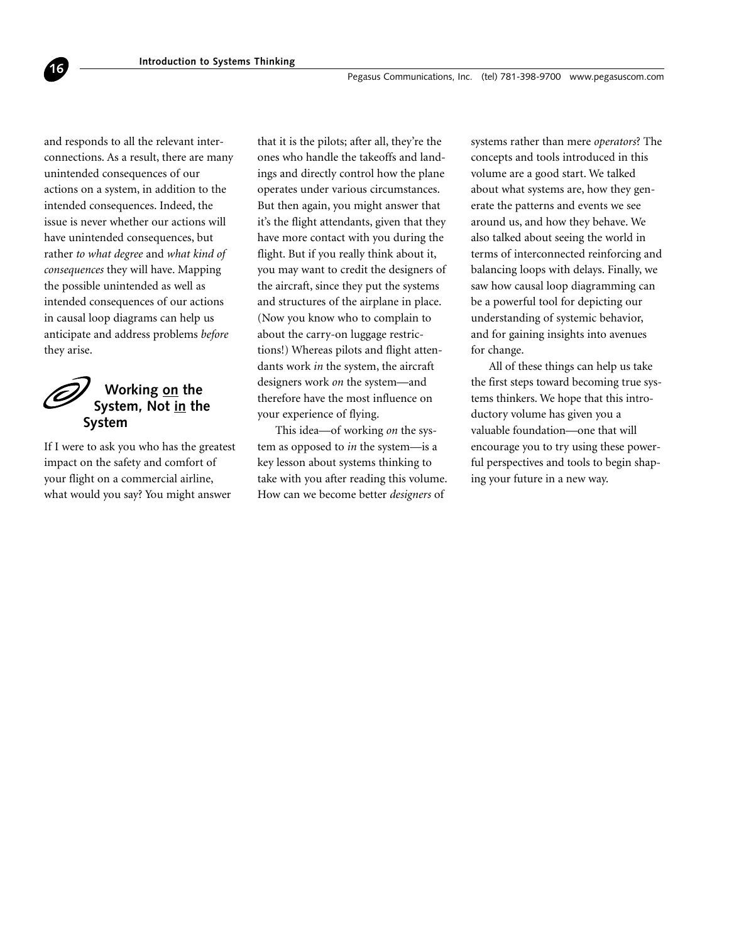and responds to all the relevant interconnections. As a result, there are many unintended consequences of our actions on a system, in addition to the intended consequences. Indeed, the issue is never whether our actions will have unintended consequences, but rather *to what degree* and *what kind of consequences* they will have. Mapping the possible unintended as well as intended consequences of our actions in causal loop diagrams can help us anticipate and address problems *before* they arise.

<span id="page-15-0"></span>**16**



If I were to ask you who has the greatest impact on the safety and comfort of your flight on a commercial airline, what would you say? You might answer

that it is the pilots; after all, they're the ones who handle the takeoffs and landings and directly control how the plane operates under various circumstances. But then again, you might answer that it's the flight attendants, given that they have more contact with you during the flight. But if you really think about it, you may want to credit the designers of the aircraft, since they put the systems and structures of the airplane in place. (Now you know who to complain to about the carry-on luggage restrictions!) Whereas pilots and flight attendants work *in* the system, the aircraft designers work *on* the system—and therefore have the most influence on your experience of flying.

This idea—of working *on* the system as opposed to *in* the system—is a key lesson about systems thinking to take with you after reading this volume. How can we become better *designers* of

systems rather than mere *operators*? The concepts and tools introduced in this volume are a good start. We talked about what systems are, how they generate the patterns and events we see around us, and how they behave. We also talked about seeing the world in terms of interconnected reinforcing and balancing loops with delays. Finally, we saw how causal loop diagramming can be a powerful tool for depicting our understanding of systemic behavior, and for gaining insights into avenues for change.

All of these things can help us take the first steps toward becoming true systems thinkers. We hope that this introductory volume has given you a valuable foundation—one that will encourage you to try using these powerful perspectives and tools to begin shaping your future in a new way.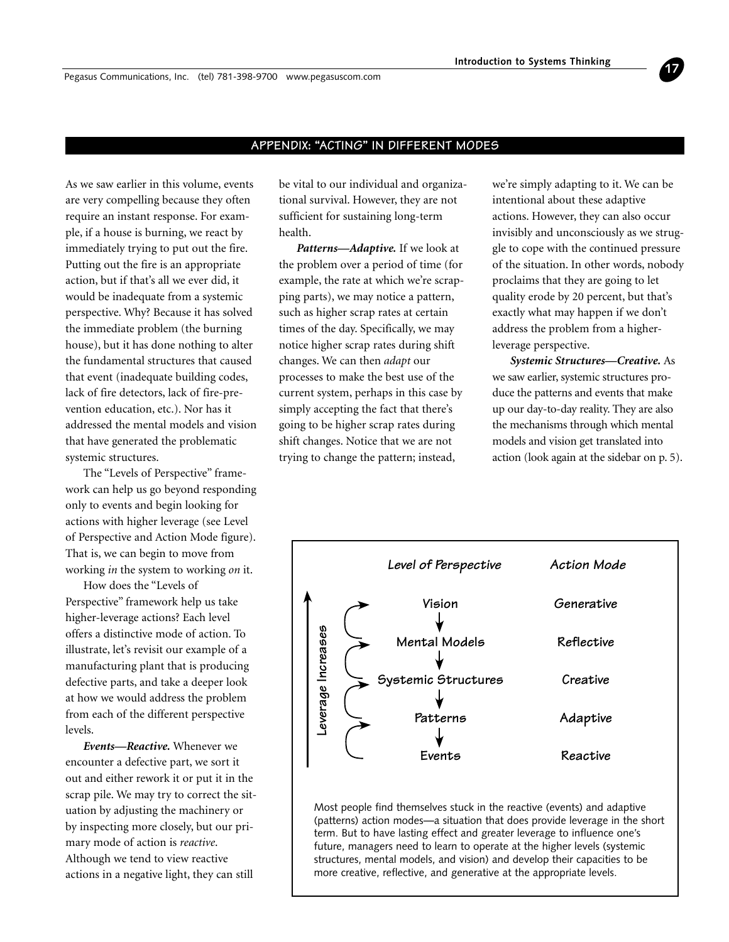<span id="page-16-0"></span>Pegasus Communications, Inc. (tel) 781-398-9700 www.pegasuscom.com

#### **APPENDIX: "ACTING" IN DIFFERENT MODES**

As we saw earlier in this volume, events are very compelling because they often require an instant response. For example, if a house is burning, we react by immediately trying to put out the fire. Putting out the fire is an appropriate action, but if that's all we ever did, it would be inadequate from a systemic perspective. Why? Because it has solved the immediate problem (the burning house), but it has done nothing to alter the fundamental structures that caused that event (inadequate building codes, lack of fire detectors, lack of fire-prevention education, etc.). Nor has it addressed the mental models and vision that have generated the problematic systemic structures.

The "Levels of Perspective" framework can help us go beyond responding only to events and begin looking for actions with higher leverage (see Level of Perspective and Action Mode figure). That is, we can begin to move from working *in* the system to working *on* it.

How does the "Levels of Perspective" framework help us take higher-leverage actions? Each level offers a distinctive mode of action. To illustrate, let's revisit our example of a manufacturing plant that is producing defective parts, and take a deeper look at how we would address the problem from each of the different perspective levels.

*Events—Reactive.* Whenever we encounter a defective part, we sort it out and either rework it or put it in the scrap pile. We may try to correct the situation by adjusting the machinery or by inspecting more closely, but our primary mode of action is *reactive*. Although we tend to view reactive actions in a negative light, they can still

be vital to our individual and organizational survival. However, they are not sufficient for sustaining long-term health.

*Patterns—Adaptive.* If we look at the problem over a period of time (for example, the rate at which we're scrapping parts), we may notice a pattern, such as higher scrap rates at certain times of the day. Specifically, we may notice higher scrap rates during shift changes. We can then *adapt* our processes to make the best use of the current system, perhaps in this case by simply accepting the fact that there's going to be higher scrap rates during shift changes. Notice that we are not trying to change the pattern; instead,

we're simply adapting to it. We can be intentional about these adaptive actions. However, they can also occur invisibly and unconsciously as we struggle to cope with the continued pressure of the situation. In other words, nobody proclaims that they are going to let quality erode by 20 percent, but that's exactly what may happen if we don't address the problem from a higherleverage perspective.

**17**

*Systemic Structures—Creative.* As we saw earlier, systemic structures produce the patterns and events that make up our day-to-day reality. They are also the mechanisms through which mental models and vision get translated into action (look again at the sidebar on p. 5).



Most people find themselves stuck in the reactive (events) and adaptive (patterns) action modes—a situation that does provide leverage in the short term. But to have lasting effect and greater leverage to influence one's future, managers need to learn to operate at the higher levels (systemic structures, mental models, and vision) and develop their capacities to be more creative, reflective, and generative at the appropriate levels.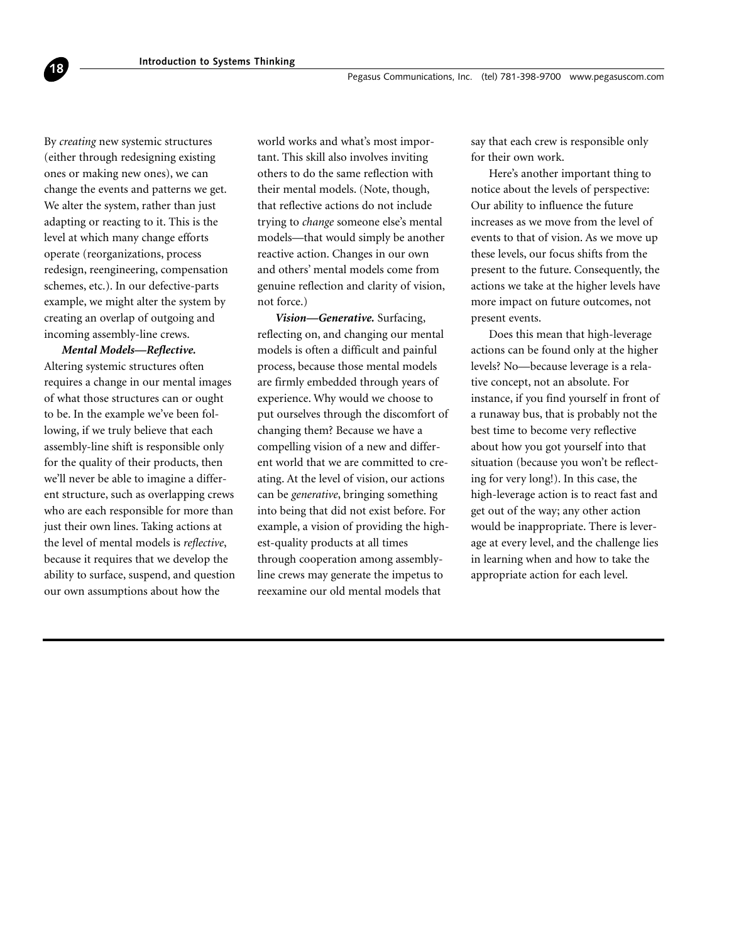By *creating* new systemic structures (either through redesigning existing ones or making new ones), we can change the events and patterns we get. We alter the system, rather than just adapting or reacting to it. This is the level at which many change efforts operate (reorganizations, process redesign, reengineering, compensation schemes, etc.). In our defective-parts example, we might alter the system by creating an overlap of outgoing and incoming assembly-line crews.

**18**

*Mental Models—Reflective.* Altering systemic structures often requires a change in our mental images of what those structures can or ought to be. In the example we've been following, if we truly believe that each assembly-line shift is responsible only for the quality of their products, then we'll never be able to imagine a different structure, such as overlapping crews who are each responsible for more than just their own lines. Taking actions at the level of mental models is *reflective*, because it requires that we develop the ability to surface, suspend, and question our own assumptions about how the

world works and what's most important. This skill also involves inviting others to do the same reflection with their mental models. (Note, though, that reflective actions do not include trying to *change* someone else's mental models—that would simply be another reactive action. Changes in our own and others' mental models come from genuine reflection and clarity of vision, not force.)

*Vision—Generative.* Surfacing, reflecting on, and changing our mental models is often a difficult and painful process, because those mental models are firmly embedded through years of experience. Why would we choose to put ourselves through the discomfort of changing them? Because we have a compelling vision of a new and different world that we are committed to creating. At the level of vision, our actions can be *generative*, bringing something into being that did not exist before. For example, a vision of providing the highest-quality products at all times through cooperation among assemblyline crews may generate the impetus to reexamine our old mental models that

say that each crew is responsible only for their own work.

Here's another important thing to notice about the levels of perspective: Our ability to influence the future increases as we move from the level of events to that of vision. As we move up these levels, our focus shifts from the present to the future. Consequently, the actions we take at the higher levels have more impact on future outcomes, not present events.

Does this mean that high-leverage actions can be found only at the higher levels? No—because leverage is a relative concept, not an absolute. For instance, if you find yourself in front of a runaway bus, that is probably not the best time to become very reflective about how you got yourself into that situation (because you won't be reflecting for very long!). In this case, the high-leverage action is to react fast and get out of the way; any other action would be inappropriate. There is leverage at every level, and the challenge lies in learning when and how to take the appropriate action for each level.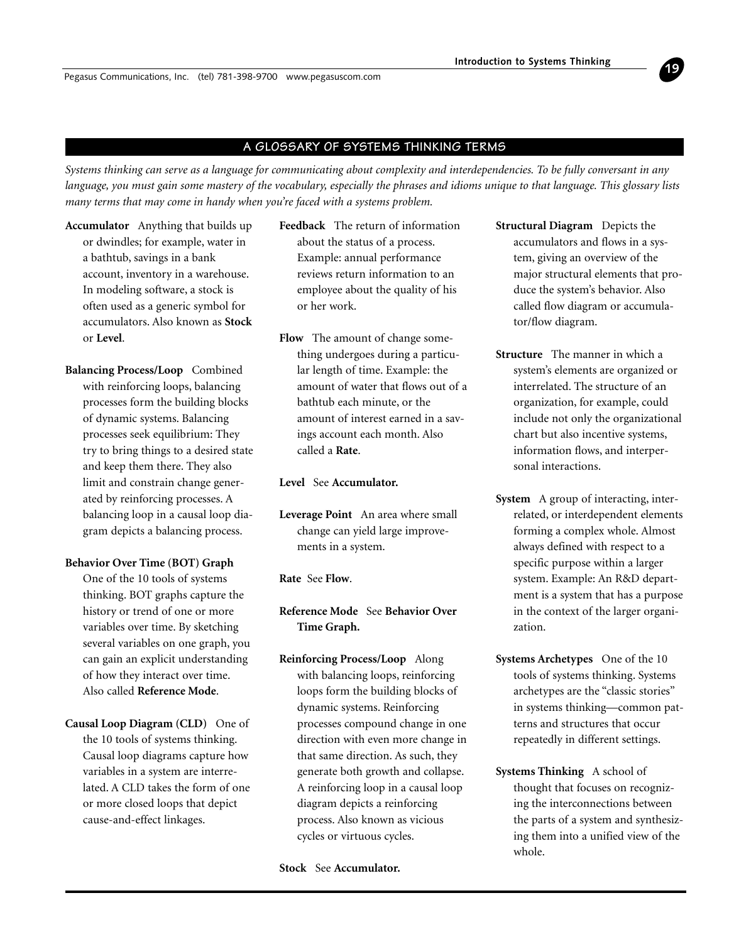<span id="page-18-0"></span>Pegasus Communications, Inc. (tel) 781-398-9700 www.pegasuscom.com

#### **A GLOSSARY OF SYSTEMS THINKING TERMS**

*Systems thinking can serve as a language for communicating about complexity and interdependencies. To be fully conversant in any language, you must gain some mastery of the vocabulary, especially the phrases and idioms unique to that language. This glossary lists many terms that may come in handy when you're faced with a systems problem.*

- **Accumulator** Anything that builds up or dwindles; for example, water in a bathtub, savings in a bank account, inventory in a warehouse. In modeling software, a stock is often used as a generic symbol for accumulators. Also known as **Stock** or **Level**.
- **Balancing Process/Loop** Combined with reinforcing loops, balancing processes form the building blocks of dynamic systems. Balancing processes seek equilibrium: They try to bring things to a desired state and keep them there. They also limit and constrain change generated by reinforcing processes. A balancing loop in a causal loop diagram depicts a balancing process.

#### **Behavior Over Time (BOT) Graph**

One of the 10 tools of systems thinking. BOT graphs capture the history or trend of one or more variables over time. By sketching several variables on one graph, you can gain an explicit understanding of how they interact over time. Also called **Reference Mode**.

**Causal Loop Diagram (CLD)** One of the 10 tools of systems thinking. Causal loop diagrams capture how variables in a system are interrelated. A CLD takes the form of one or more closed loops that depict cause-and-effect linkages.

- **Feedback** The return of information about the status of a process. Example: annual performance reviews return information to an employee about the quality of his or her work.
- **Flow** The amount of change something undergoes during a particular length of time. Example: the amount of water that flows out of a bathtub each minute, or the amount of interest earned in a savings account each month. Also called a **Rate**.

**Level** See **Accumulator.**

**Leverage Point** An area where small change can yield large improvements in a system.

**Rate** See **Flow**.

**Reference Mode** See **Behavior Over Time Graph.**

**Reinforcing Process/Loop** Along with balancing loops, reinforcing loops form the building blocks of dynamic systems. Reinforcing processes compound change in one direction with even more change in that same direction. As such, they generate both growth and collapse. A reinforcing loop in a causal loop diagram depicts a reinforcing process. Also known as vicious cycles or virtuous cycles.

#### **Stock** See **Accumulator.**

**Structural Diagram** Depicts the accumulators and flows in a system, giving an overview of the major structural elements that produce the system's behavior. Also called flow diagram or accumulator/flow diagram.

**19**

- **Structure** The manner in which a system's elements are organized or interrelated. The structure of an organization, for example, could include not only the organizational chart but also incentive systems, information flows, and interpersonal interactions.
- **System** A group of interacting, interrelated, or interdependent elements forming a complex whole. Almost always defined with respect to a specific purpose within a larger system. Example: An R&D department is a system that has a purpose in the context of the larger organization.
- **Systems Archetypes** One of the 10 tools of systems thinking. Systems archetypes are the "classic stories" in systems thinking—common patterns and structures that occur repeatedly in different settings.
- **Systems Thinking** A school of thought that focuses on recognizing the interconnections between the parts of a system and synthesizing them into a unified view of the whole.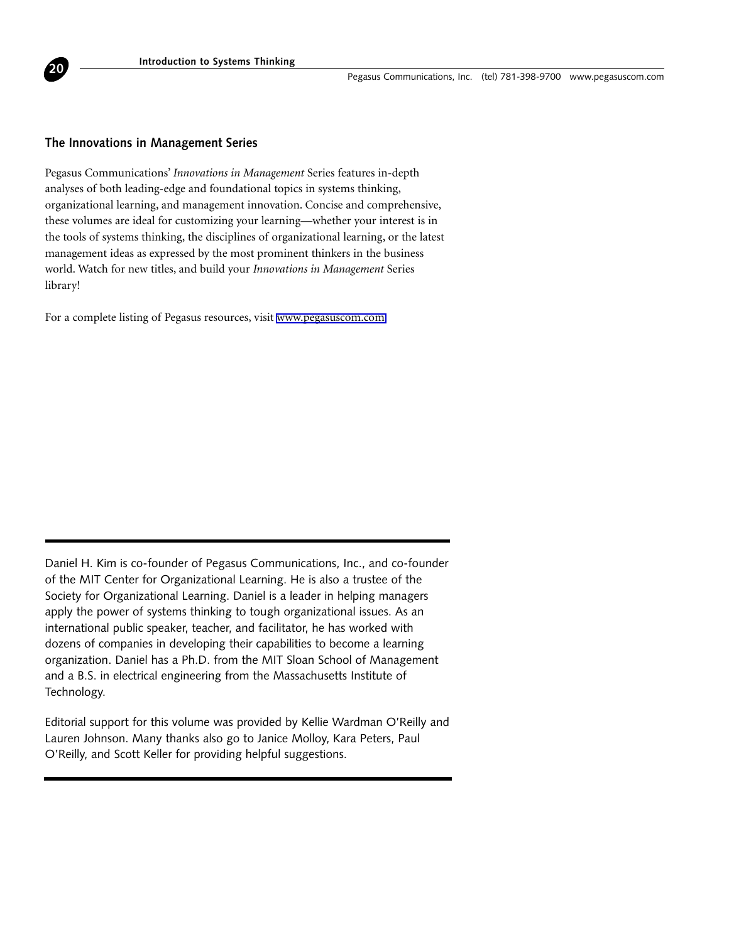

#### **The Innovations in Management Series**

Pegasus Communications' *Innovations in Management* Series features in-depth analyses of both leading-edge and foundational topics in systems thinking, organizational learning, and management innovation. Concise and comprehensive, these volumes are ideal for customizing your learning—whether your interest is in the tools of systems thinking, the disciplines of organizational learning, or the latest management ideas as expressed by the most prominent thinkers in the business world. Watch for new titles, and build your *Innovations in Management* Series library!

For a complete listing of Pegasus resources, visit [www.pegasuscom.com.](http://www.pegasuscom.com)

Daniel H. Kim is co-founder of Pegasus Communications, Inc., and co-founder of the MIT Center for Organizational Learning. He is also a trustee of the Society for Organizational Learning. Daniel is a leader in helping managers apply the power of systems thinking to tough organizational issues. As an international public speaker, teacher, and facilitator, he has worked with dozens of companies in developing their capabilities to become a learning organization. Daniel has a Ph.D. from the MIT Sloan School of Management and a B.S. in electrical engineering from the Massachusetts Institute of Technology.

Editorial support for this volume was provided by Kellie Wardman O'Reilly and Lauren Johnson. Many thanks also go to Janice Molloy, Kara Peters, Paul O'Reilly, and Scott Keller for providing helpful suggestions.